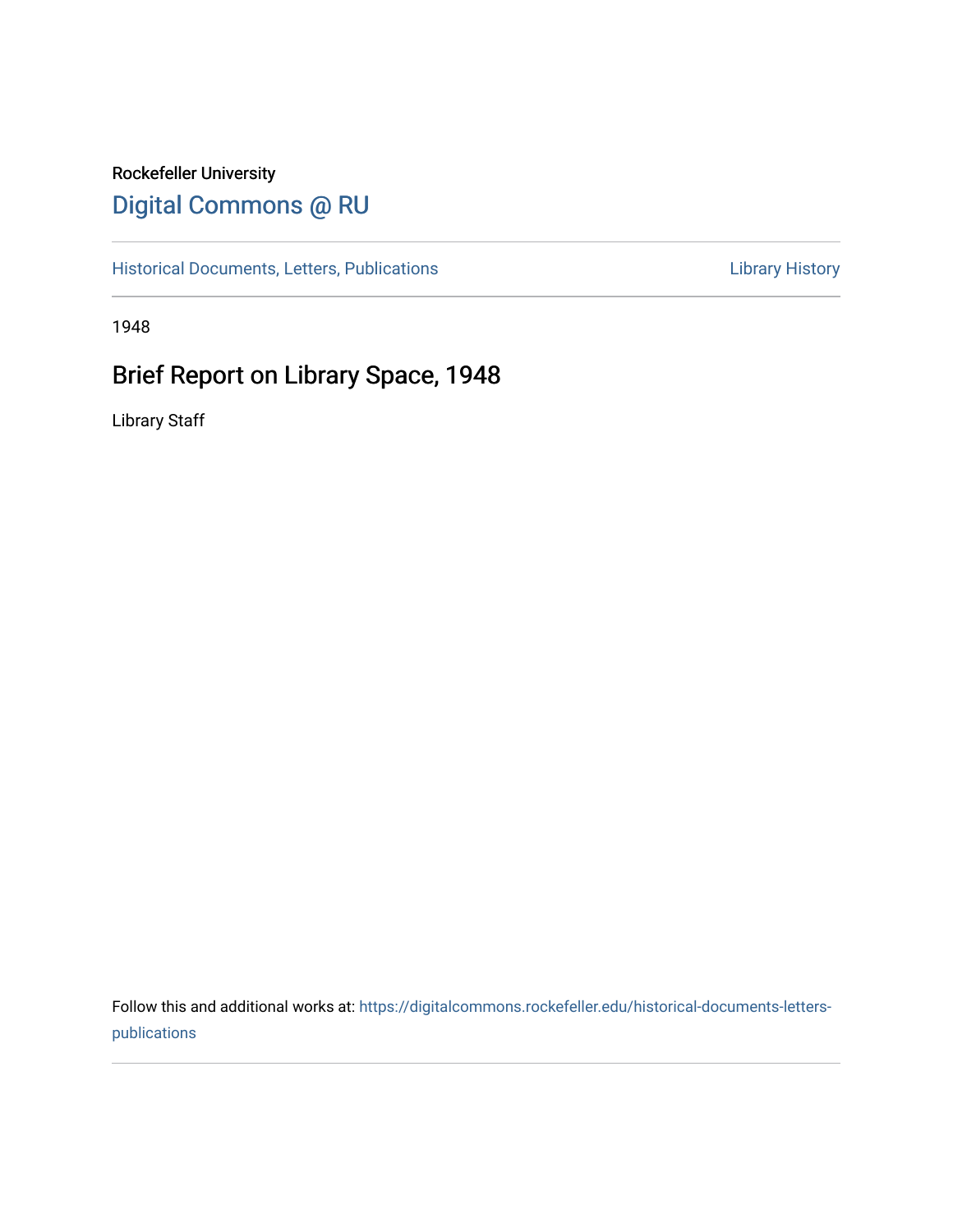## Rockefeller University [Digital Commons @ RU](https://digitalcommons.rockefeller.edu/)

[Historical Documents, Letters, Publications](https://digitalcommons.rockefeller.edu/historical-documents-letters-publications) **Library History** Library History

1948

## Brief Report on Library Space, 1948

Library Staff

Follow this and additional works at: [https://digitalcommons.rockefeller.edu/historical-documents-letters](https://digitalcommons.rockefeller.edu/historical-documents-letters-publications?utm_source=digitalcommons.rockefeller.edu%2Fhistorical-documents-letters-publications%2F27&utm_medium=PDF&utm_campaign=PDFCoverPages)[publications](https://digitalcommons.rockefeller.edu/historical-documents-letters-publications?utm_source=digitalcommons.rockefeller.edu%2Fhistorical-documents-letters-publications%2F27&utm_medium=PDF&utm_campaign=PDFCoverPages)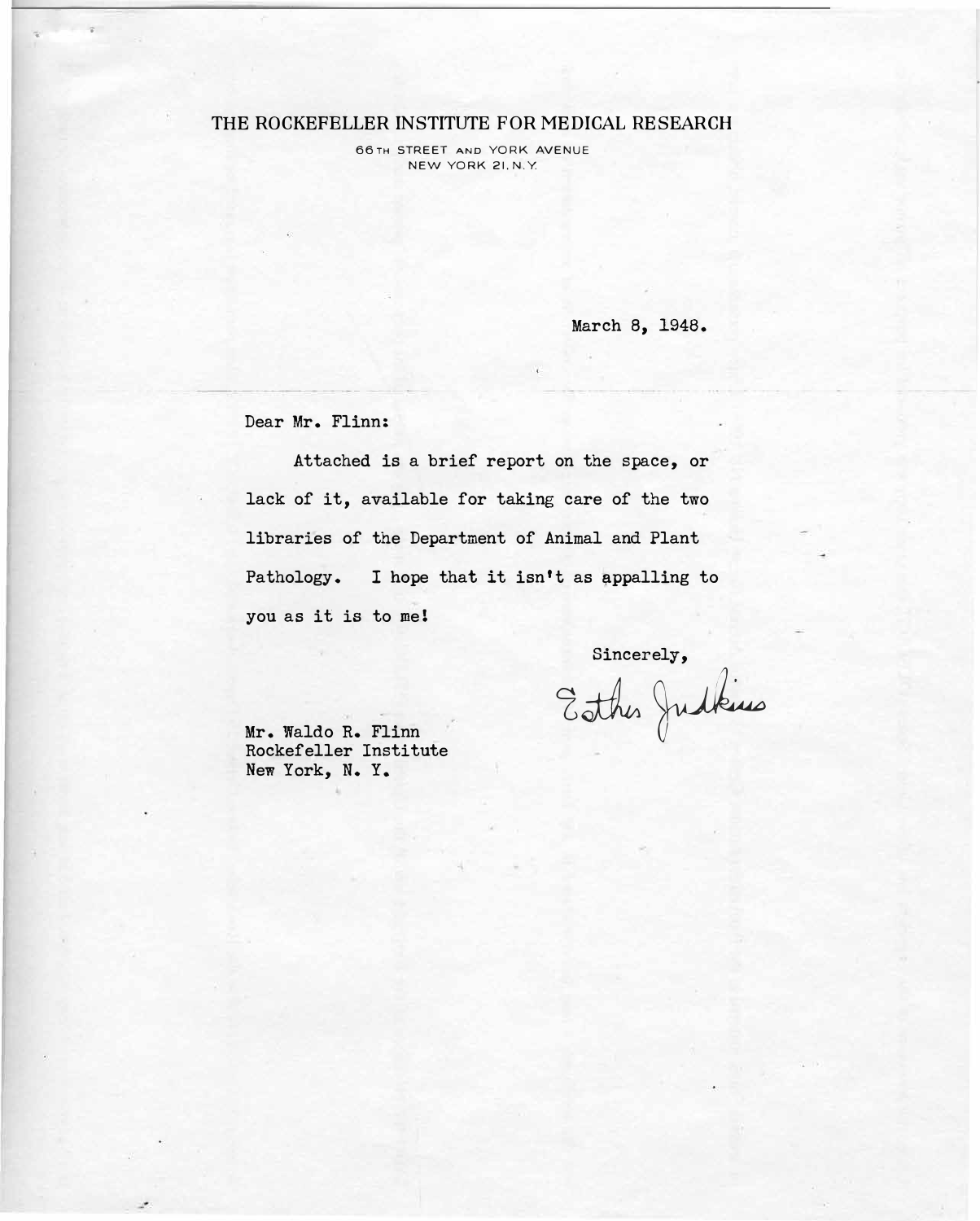## THE ROCKEFELLER INSTITUTE FOR MEDICAL RESEARCH

66TH STREET AND YORK AVENUE NEW YORK 21, N.Y

March 8, 1948.

Dear Mr. Flinn:

• •

Attached is a brief report on the space, or lack of it, available for taking care of the two libraries of the Department of Animal and Plant Pathology. I hope that it isn't as appalling to you as it is to me!

Sincerely,

Esther Judkins

Mr. Waldo R. Flinn Rockefeller Institute New York, N. Y.

ż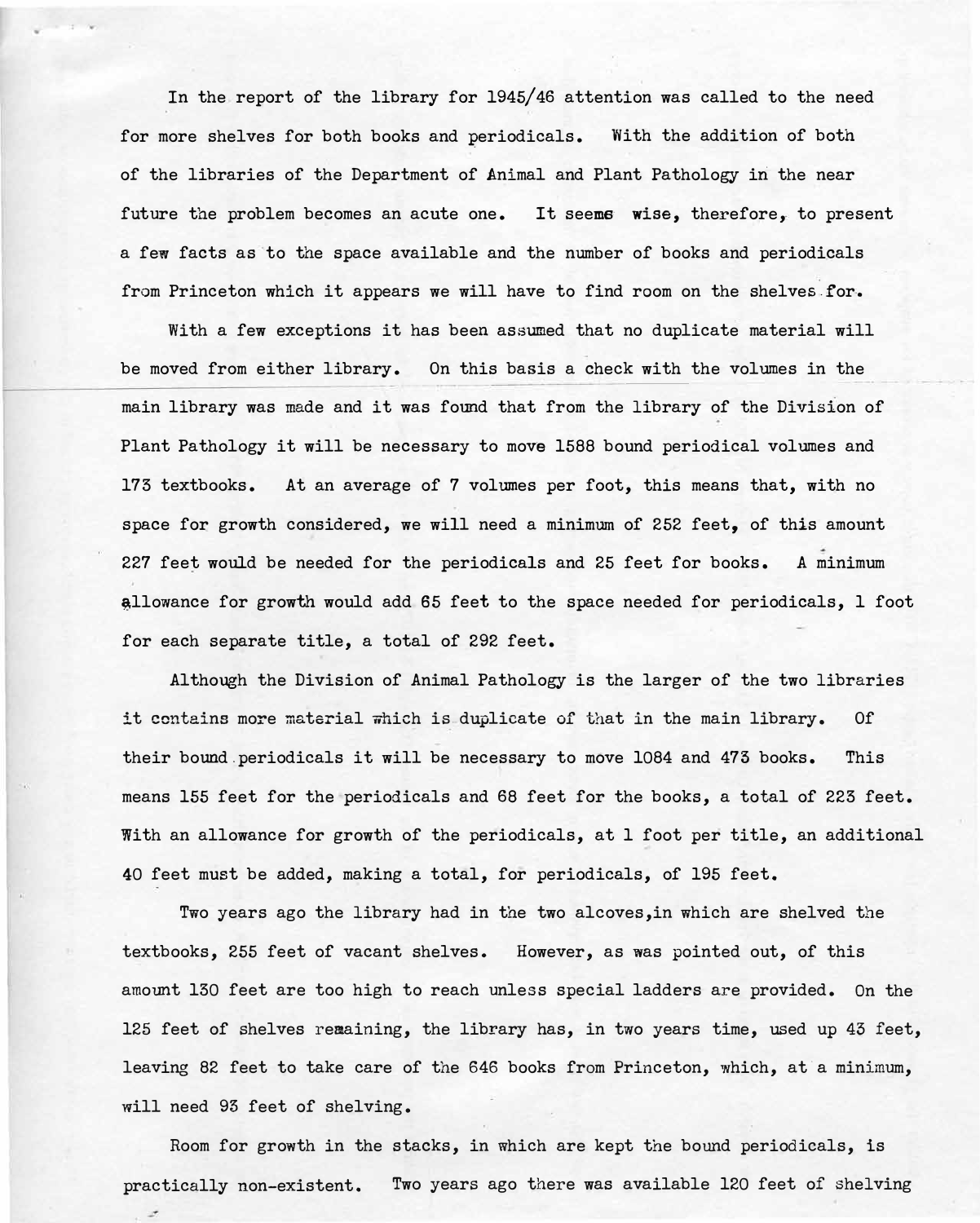In the report of the library for 1945/46 attention was called to the need for more shelves for both books and �eriodicals. With the addition of both of the libraries of the Department of Animal and Plant Pathology in the near future the problem becomes an acute one. It seems wise, therefore, to present a few facts as to the space available and the number of books and periodicals from Princeton which it appears we will have to find room on the shelves.for.

With a few exceptions it has been assumed that no duplicate material will be moved from either library. On this basis a check with the volumes in the main library was made and it was fomid that from the library of the Division of Plant Pathology it will be necessary to move 1588 bound periodical volumes and 175 textbooks. At an average of 7 volumes per foot, this means that, with no space for growth considered, we will need a minimum of 252 feet, of this amount 227 feet would be needed for the periodicals and 25 feet for books. A minimum �llowance for growth would add 65 feet to the space needed for periodicals, 1 foot for each separate title, a total of 292 feet.

Although the Division of Animal Pathology is the larger of the two libraries it contains more material which is.duplicate of that in the main library. Of their bound.periodicals it will be necessary to move 1084 and 475 books. This means 155 feet for the periodicals and 68 feet for the books, a total of 225 feet. With an allowance for growth of the periodicals, at 1 foot per title, an additional 40 feet must be added, making a total, for periodicals, of 195 feet.

Two years ago the library had in the two alcoves,in which are shelved the textbooks, 255 feet of vacant shelves. However, as was pointed out, of this amount 130 feet are too high to reach unless special ladders are provided. On the 125 feet of shelves remaining, the library has, in two years time, used up 43 feet, leaving 82 feet to take care of the 646 books from Princeton, which, at a minimum, will need 95 feet of shelving.

Room for growth in the stacks, in which are kept the bound periodicals, is practically non-existent. Two years ago there was available 120 feet of shelving